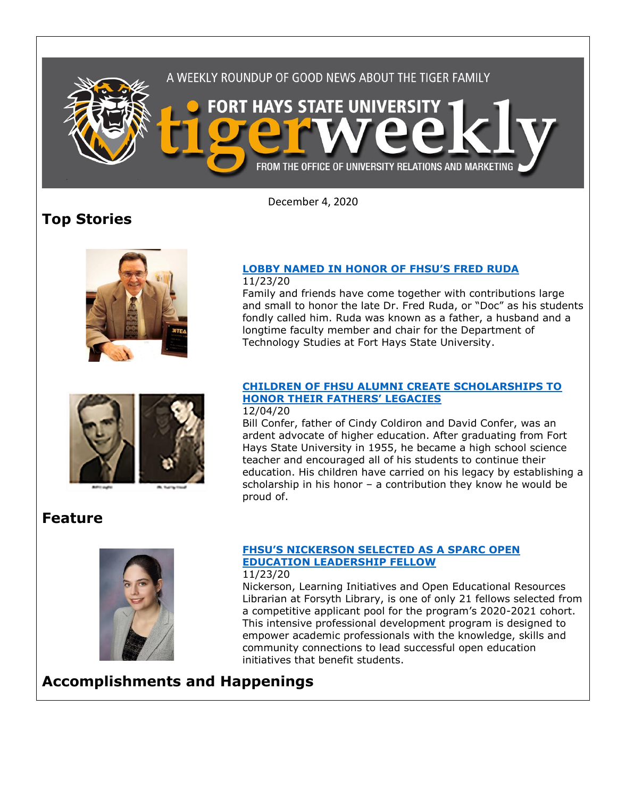

December 4, 2020

# **Top Stories**



#### **[LOBBY NAMED IN HONOR OF FHSU'S FRED RUDA](https://www.fhsu.edu/news/2020/11/lobby-named-in-honor-of-fhsus-fred-ruda)** 11/23/20

Family and friends have come together with contributions large and small to honor the late Dr. Fred Ruda, or "Doc" as his students fondly called him. Ruda was known as a father, a husband and a longtime faculty member and chair for the Department of Technology Studies at Fort Hays State University.



## **[CHILDREN OF FHSU ALUMNI CREATE SCHOLARSHIPS TO](https://www.fhsu.edu/news/2020/12/children-of-fhsu-alumni-create-scholarships-to-honor-their-fathers-legacies)  [HONOR THEIR FATHERS' LEGACIES](https://www.fhsu.edu/news/2020/12/children-of-fhsu-alumni-create-scholarships-to-honor-their-fathers-legacies)**

#### 12/04/20

Bill Confer, father of Cindy Coldiron and David Confer, was an ardent advocate of higher education. After graduating from Fort Hays State University in 1955, he became a high school science teacher and encouraged all of his students to continue their education. His children have carried on his legacy by establishing a scholarship in his honor – a contribution they know he would be proud of.

## **Feature**



## **[FHSU'S NICKERSON SELECTED AS A SPARC OPEN](https://www.fhsu.edu/news/2020/11/fhsus-nickerson-selected-as-a-sparc-open-education-leadership-fellow)  [EDUCATION LEADERSHIP FELLOW](https://www.fhsu.edu/news/2020/11/fhsus-nickerson-selected-as-a-sparc-open-education-leadership-fellow)**

### 11/23/20

Nickerson, Learning Initiatives and Open Educational Resources Librarian at Forsyth Library, is one of only 21 fellows selected from a competitive applicant pool for the program's 2020-2021 cohort. This intensive professional development program is designed to empower academic professionals with the knowledge, skills and community connections to lead successful open education initiatives that benefit students.

**Accomplishments and Happenings**